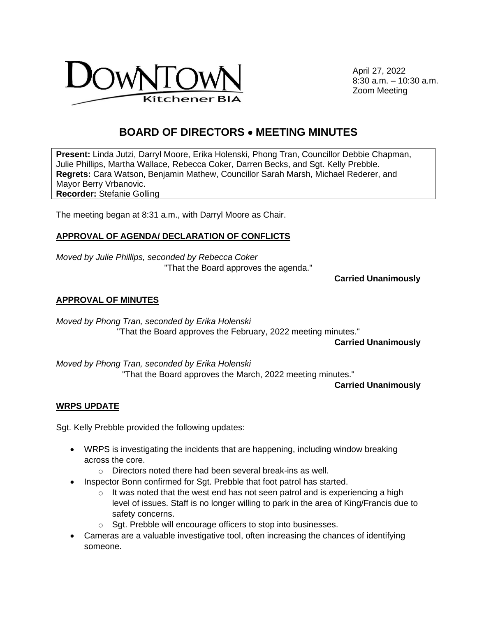

April 27, 2022 8:30 a.m. – 10:30 a.m. Zoom Meeting

# **BOARD OF DIRECTORS** • **MEETING MINUTES**

**Present:** Linda Jutzi, Darryl Moore, Erika Holenski, Phong Tran, Councillor Debbie Chapman, Julie Phillips, Martha Wallace, Rebecca Coker, Darren Becks, and Sgt. Kelly Prebble. **Regrets:** Cara Watson, Benjamin Mathew, Councillor Sarah Marsh, Michael Rederer, and Mayor Berry Vrbanovic. **Recorder:** Stefanie Golling

The meeting began at 8:31 a.m., with Darryl Moore as Chair.

## **APPROVAL OF AGENDA/ DECLARATION OF CONFLICTS**

*Moved by Julie Phillips, seconded by Rebecca Coker*  "That the Board approves the agenda."

**Carried Unanimously** 

#### **APPROVAL OF MINUTES**

*Moved by Phong Tran, seconded by Erika Holenski* "That the Board approves the February, 2022 meeting minutes."

**Carried Unanimously**

*Moved by Phong Tran, seconded by Erika Holenski*  "That the Board approves the March, 2022 meeting minutes."

**Carried Unanimously**

#### **WRPS UPDATE**

Sgt. Kelly Prebble provided the following updates:

- WRPS is investigating the incidents that are happening, including window breaking across the core.
	- o Directors noted there had been several break-ins as well.
- Inspector Bonn confirmed for Sgt. Prebble that foot patrol has started.
	- $\circ$  It was noted that the west end has not seen patrol and is experiencing a high level of issues. Staff is no longer willing to park in the area of King/Francis due to safety concerns.
	- o Sgt. Prebble will encourage officers to stop into businesses.
- Cameras are a valuable investigative tool, often increasing the chances of identifying someone.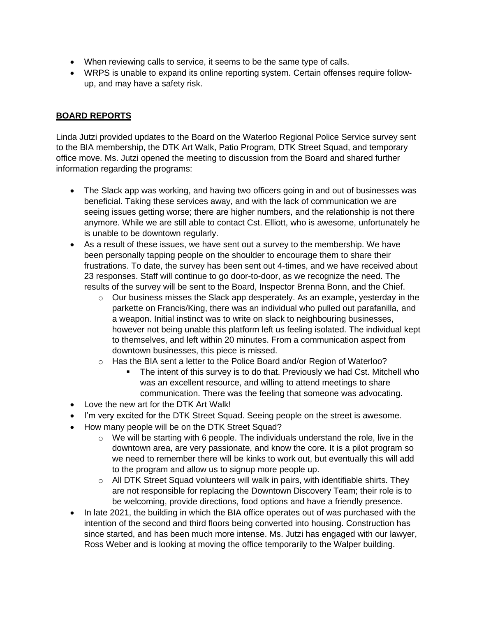- When reviewing calls to service, it seems to be the same type of calls.
- WRPS is unable to expand its online reporting system. Certain offenses require followup, and may have a safety risk.

# **BOARD REPORTS**

Linda Jutzi provided updates to the Board on the Waterloo Regional Police Service survey sent to the BIA membership, the DTK Art Walk, Patio Program, DTK Street Squad, and temporary office move. Ms. Jutzi opened the meeting to discussion from the Board and shared further information regarding the programs:

- The Slack app was working, and having two officers going in and out of businesses was beneficial. Taking these services away, and with the lack of communication we are seeing issues getting worse; there are higher numbers, and the relationship is not there anymore. While we are still able to contact Cst. Elliott, who is awesome, unfortunately he is unable to be downtown regularly.
- As a result of these issues, we have sent out a survey to the membership. We have been personally tapping people on the shoulder to encourage them to share their frustrations. To date, the survey has been sent out 4-times, and we have received about 23 responses. Staff will continue to go door-to-door, as we recognize the need. The results of the survey will be sent to the Board, Inspector Brenna Bonn, and the Chief.
	- $\circ$  Our business misses the Slack app desperately. As an example, yesterday in the parkette on Francis/King, there was an individual who pulled out parafanilla, and a weapon. Initial instinct was to write on slack to neighbouring businesses, however not being unable this platform left us feeling isolated. The individual kept to themselves, and left within 20 minutes. From a communication aspect from downtown businesses, this piece is missed.
	- o Has the BIA sent a letter to the Police Board and/or Region of Waterloo?
		- The intent of this survey is to do that. Previously we had Cst. Mitchell who was an excellent resource, and willing to attend meetings to share communication. There was the feeling that someone was advocating.
- Love the new art for the DTK Art Walk!
- I'm very excited for the DTK Street Squad. Seeing people on the street is awesome.
- How many people will be on the DTK Street Squad?
	- $\circ$  We will be starting with 6 people. The individuals understand the role, live in the downtown area, are very passionate, and know the core. It is a pilot program so we need to remember there will be kinks to work out, but eventually this will add to the program and allow us to signup more people up.
	- o All DTK Street Squad volunteers will walk in pairs, with identifiable shirts. They are not responsible for replacing the Downtown Discovery Team; their role is to be welcoming, provide directions, food options and have a friendly presence.
- In late 2021, the building in which the BIA office operates out of was purchased with the intention of the second and third floors being converted into housing. Construction has since started, and has been much more intense. Ms. Jutzi has engaged with our lawyer, Ross Weber and is looking at moving the office temporarily to the Walper building.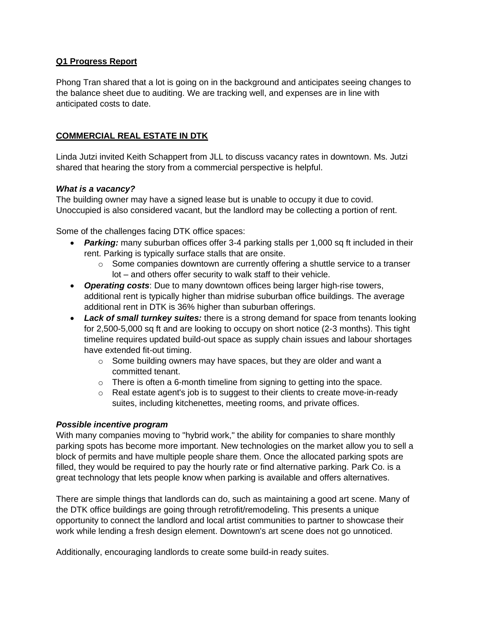## **Q1 Progress Report**

Phong Tran shared that a lot is going on in the background and anticipates seeing changes to the balance sheet due to auditing. We are tracking well, and expenses are in line with anticipated costs to date.

# **COMMERCIAL REAL ESTATE IN DTK**

Linda Jutzi invited Keith Schappert from JLL to discuss vacancy rates in downtown. Ms. Jutzi shared that hearing the story from a commercial perspective is helpful.

## *What is a vacancy?*

The building owner may have a signed lease but is unable to occupy it due to covid. Unoccupied is also considered vacant, but the landlord may be collecting a portion of rent.

Some of the challenges facing DTK office spaces:

- **Parking:** many suburban offices offer 3-4 parking stalls per 1,000 sq ft included in their rent. Parking is typically surface stalls that are onsite.
	- $\circ$  Some companies downtown are currently offering a shuttle service to a transer lot – and others offer security to walk staff to their vehicle.
- *Operating costs*: Due to many downtown offices being larger high-rise towers, additional rent is typically higher than midrise suburban office buildings. The average additional rent in DTK is 36% higher than suburban offerings.
- *Lack of small turnkey suites:* there is a strong demand for space from tenants looking for 2,500-5,000 sq ft and are looking to occupy on short notice (2-3 months). This tight timeline requires updated build-out space as supply chain issues and labour shortages have extended fit-out timing.
	- o Some building owners may have spaces, but they are older and want a committed tenant.
	- $\circ$  There is often a 6-month timeline from signing to getting into the space.
	- $\circ$  Real estate agent's job is to suggest to their clients to create move-in-ready suites, including kitchenettes, meeting rooms, and private offices.

#### *Possible incentive program*

With many companies moving to "hybrid work," the ability for companies to share monthly parking spots has become more important. New technologies on the market allow you to sell a block of permits and have multiple people share them. Once the allocated parking spots are filled, they would be required to pay the hourly rate or find alternative parking. Park Co. is a great technology that lets people know when parking is available and offers alternatives.

There are simple things that landlords can do, such as maintaining a good art scene. Many of the DTK office buildings are going through retrofit/remodeling. This presents a unique opportunity to connect the landlord and local artist communities to partner to showcase their work while lending a fresh design element. Downtown's art scene does not go unnoticed.

Additionally, encouraging landlords to create some build-in ready suites.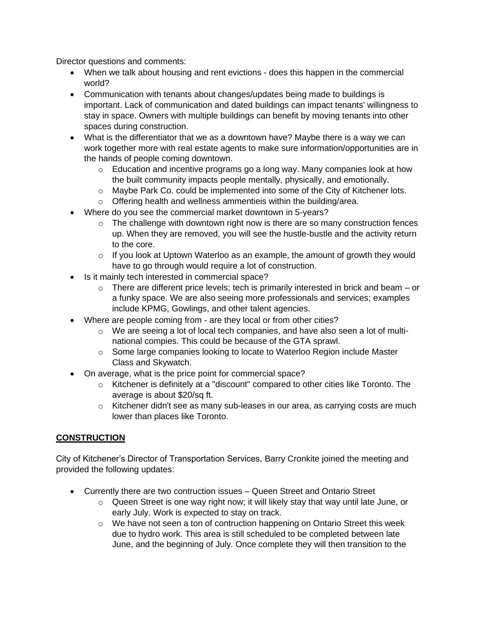Director questions and comments:

- When we talk about housing and rent evictions does this happen in the commercial world?
- Communication with tenants about changes/updates being made to buildings is important. Lack of communication and dated buildings can impact tenants' willingness to stay in space. Owners with multiple buildings can benefit by moving tenants into other spaces during construction.
- What is the differentiator that we as a downtown have? Maybe there is a way we can work together more with real estate agents to make sure information/opportunities are in the hands of people coming downtown.
	- $\circ$  Education and incentive programs go a long way. Many companies look at how the built community impacts people mentally, physically, and emotionally.
	- o Maybe Park Co. could be implemented into some of the City of Kitchener lots.
	- o Offering health and wellness ammentieis within the building/area.
- Where do you see the commercial market downtown in 5-years?
	- $\circ$  The challenge with downtown right now is there are so many construction fences up. When they are removed, you will see the hustle-bustle and the activity return to the core.
	- $\circ$  If you look at Uptown Waterloo as an example, the amount of growth they would have to go through would require a lot of construction.
- Is it mainly tech interested in commercial space?
	- $\circ$  There are different price levels; tech is primarily interested in brick and beam or a funky space. We are also seeing more professionals and services; examples include KPMG, Gowlings, and other talent agencies.
- Where are people coming from are they local or from other cities?
	- o We are seeing a lot of local tech companies, and have also seen a lot of multinational compies. This could be because of the GTA sprawl.
	- o Some large companies looking to locate to Waterloo Region include Master Class and Skywatch.
- On average, what is the price point for commercial space?
	- $\circ$  Kitchener is definitely at a "discount" compared to other cities like Toronto. The average is about \$20/sq ft.
	- o Kitchener didn't see as many sub-leases in our area, as carrying costs are much lower than places like Toronto.

# **CONSTRUCTION**

City of Kitchener's Director of Transportation Services, Barry Cronkite joined the meeting and provided the following updates:

- Currently there are two contruction issues Queen Street and Ontario Street
	- $\circ$  Queen Street is one way right now; it will likely stay that way until late June, or early July. Work is expected to stay on track.
	- o We have not seen a ton of contruction happening on Ontario Street this week due to hydro work. This area is still scheduled to be completed between late June, and the beginning of July. Once complete they will then transition to the